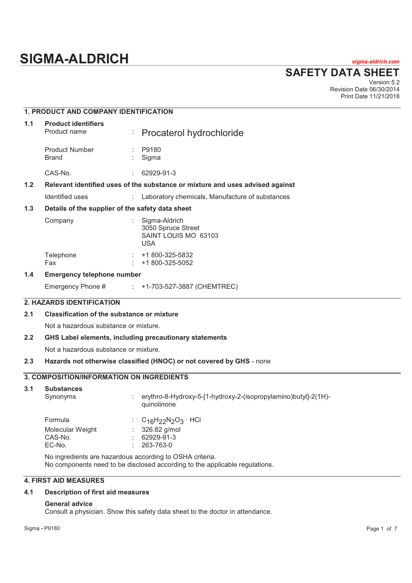# **SIGMA-ALDRICH** *sigma-aldrich.com*

**SAFETY DATA SHEET**

Version 5.2 Revision Date 06/30/2014 Print Date 11/21/2018

|                                       | 1. PRODUCT AND COMPANY IDENTIFICATION             |                                                                                                                                                                                                                      |  |  |  |
|---------------------------------------|---------------------------------------------------|----------------------------------------------------------------------------------------------------------------------------------------------------------------------------------------------------------------------|--|--|--|
| 1.1                                   | <b>Product identifiers</b><br>Product name        | Procaterol hydrochloride                                                                                                                                                                                             |  |  |  |
|                                       | <b>Product Number</b><br><b>Brand</b>             | P9180<br>Sigma                                                                                                                                                                                                       |  |  |  |
|                                       | CAS-No.                                           | 62929-91-3                                                                                                                                                                                                           |  |  |  |
| 1.2                                   |                                                   | Relevant identified uses of the substance or mixture and uses advised against                                                                                                                                        |  |  |  |
|                                       | Identified uses                                   | Laboratory chemicals, Manufacture of substances<br>÷.                                                                                                                                                                |  |  |  |
| 1.3                                   | Details of the supplier of the safety data sheet  |                                                                                                                                                                                                                      |  |  |  |
|                                       | Company                                           | Sigma-Aldrich<br>3050 Spruce Street<br>SAINT LOUIS MO 63103<br><b>USA</b>                                                                                                                                            |  |  |  |
|                                       | Telephone<br>Fax                                  | +1 800-325-5832<br>+1 800-325-5052                                                                                                                                                                                   |  |  |  |
| 1.4                                   | <b>Emergency telephone number</b>                 |                                                                                                                                                                                                                      |  |  |  |
|                                       | Emergency Phone #                                 | : +1-703-527-3887 (CHEMTREC)                                                                                                                                                                                         |  |  |  |
|                                       | <b>2. HAZARDS IDENTIFICATION</b>                  |                                                                                                                                                                                                                      |  |  |  |
| 2.1                                   | <b>Classification of the substance or mixture</b> |                                                                                                                                                                                                                      |  |  |  |
|                                       | Not a hazardous substance or mixture.             |                                                                                                                                                                                                                      |  |  |  |
| 2.2                                   |                                                   | GHS Label elements, including precautionary statements                                                                                                                                                               |  |  |  |
| Not a hazardous substance or mixture. |                                                   |                                                                                                                                                                                                                      |  |  |  |
| 2.3                                   |                                                   | Hazards not otherwise classified (HNOC) or not covered by GHS - none                                                                                                                                                 |  |  |  |
|                                       | <b>3. COMPOSITION/INFORMATION ON INGREDIENTS</b>  |                                                                                                                                                                                                                      |  |  |  |
| 3.1                                   | <b>Substances</b><br>Synonyms                     | erythro-8-Hydroxy-5-[1-hydroxy-2-(isopropylamino)butyl]-2(1H)-<br>quinolinone                                                                                                                                        |  |  |  |
|                                       | Formula<br>Molecular Weight<br>CAS-No.<br>EC-No.  | $C_{16}H_{22}N_{2}O_{3}$ . HCl<br>326.82 g/mol<br>62929-91-3<br>263-763-0<br>No ingredients are hazardous according to OSHA criteria.<br>No components need to be disclosed according to the applicable regulations. |  |  |  |
|                                       | <b>4. FIRST AID MEASURES</b>                      |                                                                                                                                                                                                                      |  |  |  |

## **4.1 Description of first aid measures**

## **General advice**

Consult a physician. Show this safety data sheet to the doctor in attendance.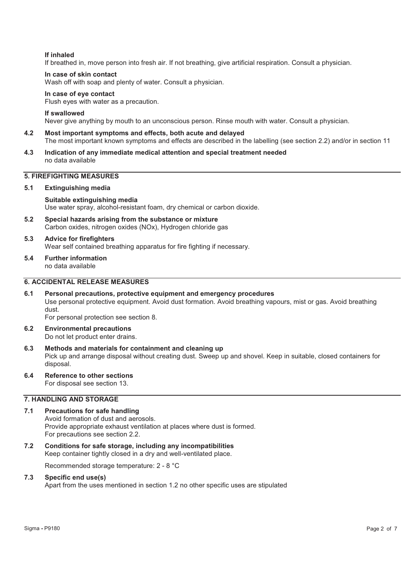## **If inhaled**

If breathed in, move person into fresh air. If not breathing, give artificial respiration. Consult a physician.

## **In case of skin contact**

Wash off with soap and plenty of water. Consult a physician.

## **In case of eye contact**

Flush eyes with water as a precaution.

## **If swallowed**

Never give anything by mouth to an unconscious person. Rinse mouth with water. Consult a physician.

## **4.2 Most important symptoms and effects, both acute and delayed**

- The most important known symptoms and effects are described in the labelling (see section 2.2) and/or in section 11
- **4.3 Indication of any immediate medical attention and special treatment needed**  no data available

## **5. FIREFIGHTING MEASURES**

## **5.1 Extinguishing media**

## **Suitable extinguishing media**

Use water spray, alcohol-resistant foam, dry chemical or carbon dioxide.

**5.2 Special hazards arising from the substance or mixture**  Carbon oxides, nitrogen oxides (NOx), Hydrogen chloride gas

## **5.3 Advice for firefighters**

Wear self contained breathing apparatus for fire fighting if necessary.

## **5.4 Further information**

no data available

## **6. ACCIDENTAL RELEASE MEASURES**

## **6.1 Personal precautions, protective equipment and emergency procedures**  Use personal protective equipment. Avoid dust formation. Avoid breathing vapours, mist or gas. Avoid breathing dust.

For personal protection see section 8.

- **6.2 Environmental precautions**  Do not let product enter drains.
- **6.3 Methods and materials for containment and cleaning up**  Pick up and arrange disposal without creating dust. Sweep up and shovel. Keep in suitable, closed containers for disposal.
- **6.4 Reference to other sections**  For disposal see section 13.

## **7. HANDLING AND STORAGE**

- **7.1 Precautions for safe handling**  Avoid formation of dust and aerosols. Provide appropriate exhaust ventilation at places where dust is formed. For precautions see section 2.2.
- **7.2 Conditions for safe storage, including any incompatibilities**  Keep container tightly closed in a dry and well-ventilated place.

Recommended storage temperature: 2 - 8 °C

## **7.3 Specific end use(s)**

Apart from the uses mentioned in section 1.2 no other specific uses are stipulated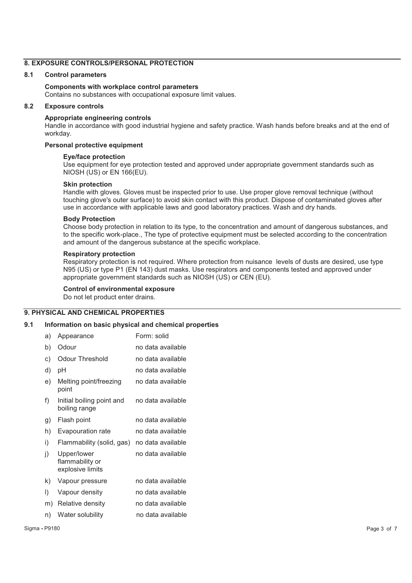## **8. EXPOSURE CONTROLS/PERSONAL PROTECTION**

## **8.1 Control parameters**

## **Components with workplace control parameters**

Contains no substances with occupational exposure limit values.

## **8.2 Exposure controls**

## **Appropriate engineering controls**

Handle in accordance with good industrial hygiene and safety practice. Wash hands before breaks and at the end of workday.

## **Personal protective equipment**

#### **Eye/face protection**

Use equipment for eye protection tested and approved under appropriate government standards such as NIOSH (US) or EN 166(EU).

## **Skin protection**

Handle with gloves. Gloves must be inspected prior to use. Use proper glove removal technique (without touching glove's outer surface) to avoid skin contact with this product. Dispose of contaminated gloves after use in accordance with applicable laws and good laboratory practices. Wash and dry hands.

## **Body Protection**

Choose body protection in relation to its type, to the concentration and amount of dangerous substances, and to the specific work-place., The type of protective equipment must be selected according to the concentration and amount of the dangerous substance at the specific workplace.

## **Respiratory protection**

Respiratory protection is not required. Where protection from nuisance levels of dusts are desired, use type N95 (US) or type P1 (EN 143) dust masks. Use respirators and components tested and approved under appropriate government standards such as NIOSH (US) or CEN (EU).

## **Control of environmental exposure**

Do not let product enter drains.

#### **9. PHYSICAL AND CHEMICAL PROPERTIES**

#### **9.1 Information on basic physical and chemical properties**

| a)      | Appearance                                         | Form: solid       |
|---------|----------------------------------------------------|-------------------|
| b)      | Odour                                              | no data available |
| c)      | Odour Threshold                                    | no data available |
| d)      | рH                                                 | no data available |
| e)      | Melting point/freezing<br>point                    | no data available |
| f)      | Initial boiling point and<br>boiling range         | no data available |
| g)      | Flash point                                        | no data available |
| h)      | Evapouration rate                                  | no data available |
| i)      | Flammability (solid, gas)                          | no data available |
| j)      | Upper/lower<br>flammability or<br>explosive limits | no data available |
| k)      | Vapour pressure                                    | no data available |
| $\vert$ | Vapour density                                     | no data available |
| m)      | Relative density                                   | no data available |
| n)      | Water solubility                                   | no data available |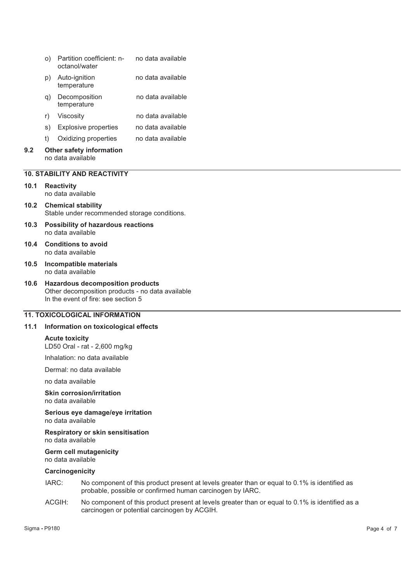|                                     | O)                                                   | Partition coefficient: n-<br>octanol/water | no data available |  |
|-------------------------------------|------------------------------------------------------|--------------------------------------------|-------------------|--|
|                                     | p)                                                   | Auto-ignition<br>temperature               | no data available |  |
|                                     | q)                                                   | Decomposition<br>temperature               | no data available |  |
|                                     | r)                                                   | Viscosity                                  | no data available |  |
|                                     | S)                                                   | Explosive properties                       | no data available |  |
|                                     | t)                                                   | Oxidizing properties                       | no data available |  |
| 9.2                                 | <b>Other safety information</b><br>no data available |                                            |                   |  |
| <b>10. STABILITY AND REACTIVITY</b> |                                                      |                                            |                   |  |
| 10.1                                |                                                      | <b>Reactivity</b><br>no data available     |                   |  |

- **10.2 Chemical stability**  Stable under recommended storage conditions.
- **10.3 Possibility of hazardous reactions**  no data available
- **10.4 Conditions to avoid**  no data available
- **10.5 Incompatible materials**  no data available
- **10.6 Hazardous decomposition products**  Other decomposition products - no data available In the event of fire: see section 5

## **11. TOXICOLOGICAL INFORMATION**

## **11.1 Information on toxicological effects**

#### **Acute toxicity**

LD50 Oral - rat - 2,600 mg/kg

Inhalation: no data available

Dermal: no data available

no data available

## **Skin corrosion/irritation**

no data available

**Serious eye damage/eye irritation**  no data available

**Respiratory or skin sensitisation**  no data available

#### **Germ cell mutagenicity**  no data available

## **Carcinogenicity**

- IARC: No component of this product present at levels greater than or equal to 0.1% is identified as probable, possible or confirmed human carcinogen by IARC.
- ACGIH: No component of this product present at levels greater than or equal to 0.1% is identified as a carcinogen or potential carcinogen by ACGIH.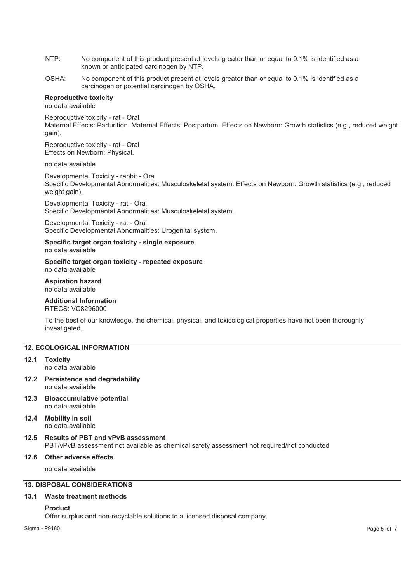- NTP: No component of this product present at levels greater than or equal to 0.1% is identified as a known or anticipated carcinogen by NTP.
- OSHA: No component of this product present at levels greater than or equal to 0.1% is identified as a carcinogen or potential carcinogen by OSHA.

## **Reproductive toxicity**

no data available

Reproductive toxicity - rat - Oral Maternal Effects: Parturition. Maternal Effects: Postpartum. Effects on Newborn: Growth statistics (e.g., reduced weight gain).

Reproductive toxicity - rat - Oral Effects on Newborn: Physical.

## no data available

Developmental Toxicity - rabbit - Oral Specific Developmental Abnormalities: Musculoskeletal system. Effects on Newborn: Growth statistics (e.g., reduced weight gain).

Developmental Toxicity - rat - Oral Specific Developmental Abnormalities: Musculoskeletal system.

Developmental Toxicity - rat - Oral Specific Developmental Abnormalities: Urogenital system.

#### **Specific target organ toxicity - single exposure**  no data available

**Specific target organ toxicity - repeated exposure**  no data available

## **Aspiration hazard**  no data available

## **Additional Information**

RTECS: VC8296000

To the best of our knowledge, the chemical, physical, and toxicological properties have not been thoroughly investigated.

## **12. ECOLOGICAL INFORMATION**

- **12.1 Toxicity**  no data available
- **12.2 Persistence and degradability**  no data available
- **12.3 Bioaccumulative potential**  no data available
- **12.4 Mobility in soil**  no data available

## **12.5 Results of PBT and vPvB assessment**  PBT/vPvB assessment not available as chemical safety assessment not required/not conducted

## **12.6 Other adverse effects**

no data available

## **13. DISPOSAL CONSIDERATIONS**

## **13.1 Waste treatment methods**

#### **Product**

Offer surplus and non-recyclable solutions to a licensed disposal company.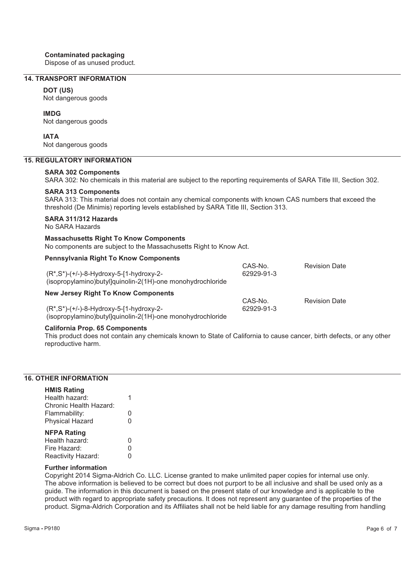## **Contaminated packaging**

Dispose of as unused product.

## **14. TRANSPORT INFORMATION**

#### **DOT (US)**

Not dangerous goods

## **IMDG**

Not dangerous goods

## **IATA**

Not dangerous goods

## **15. REGULATORY INFORMATION**

## **SARA 302 Components**

SARA 302: No chemicals in this material are subject to the reporting requirements of SARA Title III, Section 302.

## **SARA 313 Components**

SARA 313: This material does not contain any chemical components with known CAS numbers that exceed the threshold (De Minimis) reporting levels established by SARA Title III, Section 313.

## **SARA 311/312 Hazards**

No SARA Hazards

## **Massachusetts Right To Know Components**

No components are subject to the Massachusetts Right to Know Act.

(isopropylamino)butyl]quinolin-2(1H)-one monohydrochloride

| <b>Pennsylvania Right To Know Components</b> |  |  |  |
|----------------------------------------------|--|--|--|
|----------------------------------------------|--|--|--|

| $(R^*, S^*)$ -(+/-)-8-Hydroxy-5-[1-hydroxy-2-<br>(isopropylamino) butylo quinolin-2(1H)-one monohydrochloride | CAS-No.<br>62929-91-3 | <b>Revision Date</b> |
|---------------------------------------------------------------------------------------------------------------|-----------------------|----------------------|
| <b>New Jersey Right To Know Components</b>                                                                    |                       |                      |
| $(R^*,S^*)$ -(+/-)-8-Hydroxy-5-[1-hydroxy-2-                                                                  | CAS-No.<br>62929-91-3 | <b>Revision Date</b> |

## **California Prop. 65 Components**

This product does not contain any chemicals known to State of California to cause cancer, birth defects, or any other reproductive harm.

## **16. OTHER INFORMATION**

| <b>HMIS Rating</b>     |   |
|------------------------|---|
| Health hazard:         |   |
| Chronic Health Hazard: |   |
| Flammability:          | O |
| <b>Physical Hazard</b> | 0 |
| <b>NFPA Rating</b>     |   |
| Health hazard:         | O |
| Fire Hazard:           | 0 |
| Reactivity Hazard:     | 0 |

#### **Further information**

Copyright 2014 Sigma-Aldrich Co. LLC. License granted to make unlimited paper copies for internal use only. The above information is believed to be correct but does not purport to be all inclusive and shall be used only as a guide. The information in this document is based on the present state of our knowledge and is applicable to the product with regard to appropriate safety precautions. It does not represent any guarantee of the properties of the product. Sigma-Aldrich Corporation and its Affiliates shall not be held liable for any damage resulting from handling